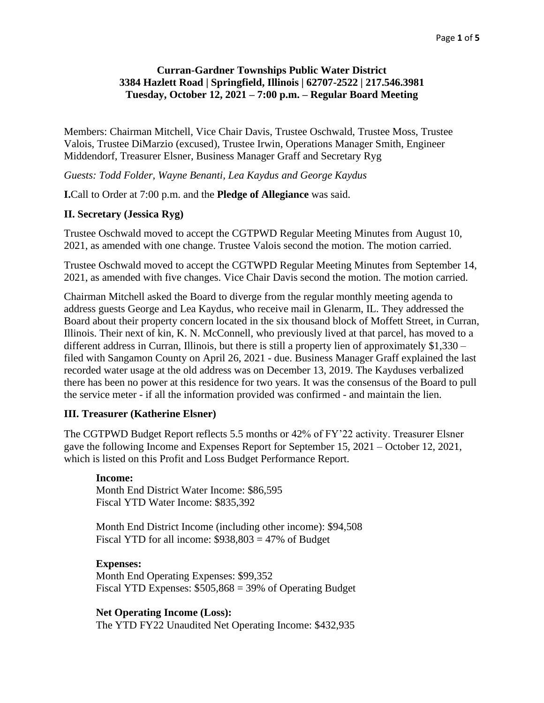## **Curran-Gardner Townships Public Water District 3384 Hazlett Road | Springfield, Illinois | 62707-2522 | 217.546.3981 Tuesday, October 12, 2021 – 7:00 p.m. – Regular Board Meeting**

Members: Chairman Mitchell, Vice Chair Davis, Trustee Oschwald, Trustee Moss, Trustee Valois, Trustee DiMarzio (excused), Trustee Irwin, Operations Manager Smith, Engineer Middendorf, Treasurer Elsner, Business Manager Graff and Secretary Ryg

*Guests: Todd Folder, Wayne Benanti, Lea Kaydus and George Kaydus*

**I.**Call to Order at 7:00 p.m. and the **Pledge of Allegiance** was said.

### **II. Secretary (Jessica Ryg)**

Trustee Oschwald moved to accept the CGTPWD Regular Meeting Minutes from August 10, 2021, as amended with one change. Trustee Valois second the motion. The motion carried.

Trustee Oschwald moved to accept the CGTWPD Regular Meeting Minutes from September 14, 2021, as amended with five changes. Vice Chair Davis second the motion. The motion carried.

Chairman Mitchell asked the Board to diverge from the regular monthly meeting agenda to address guests George and Lea Kaydus, who receive mail in Glenarm, IL. They addressed the Board about their property concern located in the six thousand block of Moffett Street, in Curran, Illinois. Their next of kin, K. N. McConnell, who previously lived at that parcel, has moved to a different address in Curran, Illinois, but there is still a property lien of approximately \$1,330 – filed with Sangamon County on April 26, 2021 - due. Business Manager Graff explained the last recorded water usage at the old address was on December 13, 2019. The Kayduses verbalized there has been no power at this residence for two years. It was the consensus of the Board to pull the service meter - if all the information provided was confirmed - and maintain the lien.

### **III. Treasurer (Katherine Elsner)**

The CGTPWD Budget Report reflects 5.5 months or 42% of FY'22 activity. Treasurer Elsner gave the following Income and Expenses Report for September 15, 2021 – October 12, 2021, which is listed on this Profit and Loss Budget Performance Report.

#### **Income:**

Month End District Water Income: \$86,595 Fiscal YTD Water Income: \$835,392

Month End District Income (including other income): \$94,508 Fiscal YTD for all income:  $$938,803 = 47\%$  of Budget

### **Expenses:**

Month End Operating Expenses: \$99,352 Fiscal YTD Expenses: \$505,868 = 39% of Operating Budget

#### **Net Operating Income (Loss):**

The YTD FY22 Unaudited Net Operating Income: \$432,935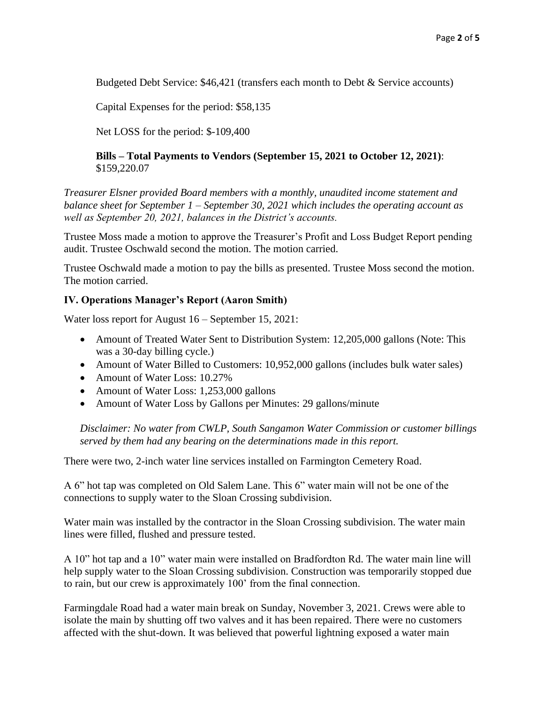Budgeted Debt Service: \$46,421 (transfers each month to Debt & Service accounts)

Capital Expenses for the period: \$58,135

Net LOSS for the period: \$-109,400

### **Bills – Total Payments to Vendors (September 15, 2021 to October 12, 2021)**: \$159,220.07

*Treasurer Elsner provided Board members with a monthly, unaudited income statement and balance sheet for September 1 – September 30, 2021 which includes the operating account as well as September 20, 2021, balances in the District's accounts.* 

Trustee Moss made a motion to approve the Treasurer's Profit and Loss Budget Report pending audit. Trustee Oschwald second the motion. The motion carried.

Trustee Oschwald made a motion to pay the bills as presented. Trustee Moss second the motion. The motion carried.

### **IV. Operations Manager's Report (Aaron Smith)**

Water loss report for August 16 – September 15, 2021:

- Amount of Treated Water Sent to Distribution System: 12,205,000 gallons (Note: This was a 30-day billing cycle.)
- Amount of Water Billed to Customers: 10,952,000 gallons (includes bulk water sales)
- Amount of Water Loss: 10.27%
- Amount of Water Loss: 1,253,000 gallons
- Amount of Water Loss by Gallons per Minutes: 29 gallons/minute

*Disclaimer: No water from CWLP, South Sangamon Water Commission or customer billings served by them had any bearing on the determinations made in this report.*

There were two, 2-inch water line services installed on Farmington Cemetery Road.

A 6" hot tap was completed on Old Salem Lane. This 6" water main will not be one of the connections to supply water to the Sloan Crossing subdivision.

Water main was installed by the contractor in the Sloan Crossing subdivision. The water main lines were filled, flushed and pressure tested.

A 10" hot tap and a 10" water main were installed on Bradfordton Rd. The water main line will help supply water to the Sloan Crossing subdivision. Construction was temporarily stopped due to rain, but our crew is approximately 100' from the final connection.

Farmingdale Road had a water main break on Sunday, November 3, 2021. Crews were able to isolate the main by shutting off two valves and it has been repaired. There were no customers affected with the shut-down. It was believed that powerful lightning exposed a water main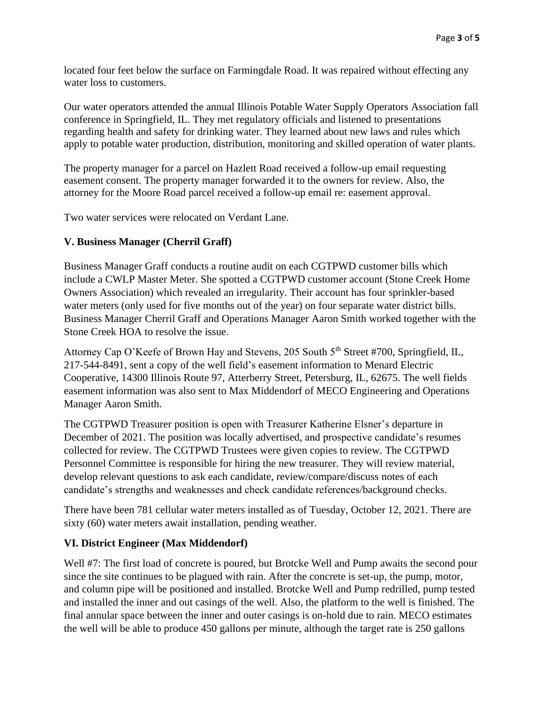located four feet below the surface on Farmingdale Road. It was repaired without effecting any water loss to customers.

Our water operators attended the annual Illinois Potable Water Supply Operators Association fall conference in Springfield, IL. They met regulatory officials and listened to presentations regarding health and safety for drinking water. They learned about new laws and rules which apply to potable water production, distribution, monitoring and skilled operation of water plants.

The property manager for a parcel on Hazlett Road received a follow-up email requesting easement consent. The property manager forwarded it to the owners for review. Also, the attorney for the Moore Road parcel received a follow-up email re: easement approval.

Two water services were relocated on Verdant Lane.

# **V. Business Manager (Cherril Graff)**

Business Manager Graff conducts a routine audit on each CGTPWD customer bills which include a CWLP Master Meter. She spotted a CGTPWD customer account (Stone Creek Home Owners Association) which revealed an irregularity. Their account has four sprinkler-based water meters (only used for five months out of the year) on four separate water district bills. Business Manager Cherril Graff and Operations Manager Aaron Smith worked together with the Stone Creek HOA to resolve the issue.

Attorney Cap O'Keefe of Brown Hay and Stevens, 205 South 5<sup>th</sup> Street #700, Springfield, IL, 217-544-8491, sent a copy of the well field's easement information to Menard Electric Cooperative, 14300 Illinois Route 97, Atterberry Street, Petersburg, IL, 62675. The well fields easement information was also sent to Max Middendorf of MECO Engineering and Operations Manager Aaron Smith.

The CGTPWD Treasurer position is open with Treasurer Katherine Elsner's departure in December of 2021. The position was locally advertised, and prospective candidate's resumes collected for review. The CGTPWD Trustees were given copies to review. The CGTPWD Personnel Committee is responsible for hiring the new treasurer. They will review material, develop relevant questions to ask each candidate, review/compare/discuss notes of each candidate's strengths and weaknesses and check candidate references/background checks.

There have been 781 cellular water meters installed as of Tuesday, October 12, 2021. There are sixty (60) water meters await installation, pending weather.

# **VI. District Engineer (Max Middendorf)**

Well #7: The first load of concrete is poured, but Brotcke Well and Pump awaits the second pour since the site continues to be plagued with rain. After the concrete is set-up, the pump, motor, and column pipe will be positioned and installed. Brotcke Well and Pump redrilled, pump tested and installed the inner and out casings of the well. Also, the platform to the well is finished. The final annular space between the inner and outer casings is on-hold due to rain. MECO estimates the well will be able to produce 450 gallons per minute, although the target rate is 250 gallons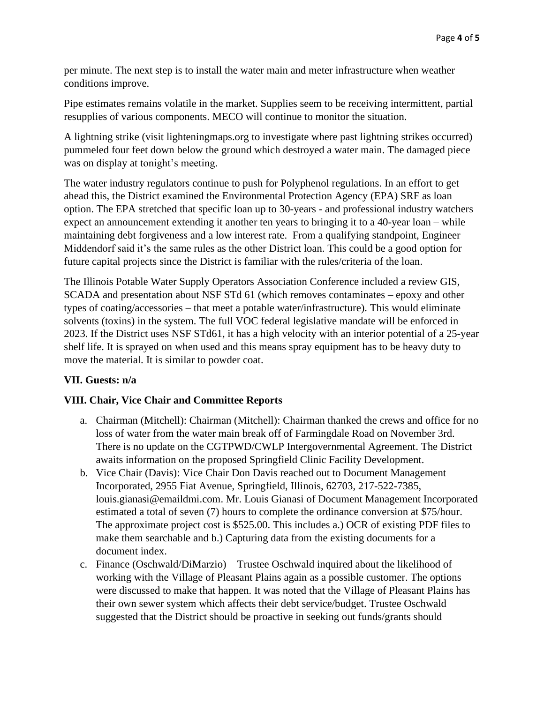per minute. The next step is to install the water main and meter infrastructure when weather conditions improve.

Pipe estimates remains volatile in the market. Supplies seem to be receiving intermittent, partial resupplies of various components. MECO will continue to monitor the situation.

A lightning strike (visit lighteningmaps.org to investigate where past lightning strikes occurred) pummeled four feet down below the ground which destroyed a water main. The damaged piece was on display at tonight's meeting.

The water industry regulators continue to push for Polyphenol regulations. In an effort to get ahead this, the District examined the Environmental Protection Agency (EPA) SRF as loan option. The EPA stretched that specific loan up to 30-years - and professional industry watchers expect an announcement extending it another ten years to bringing it to a 40-year loan – while maintaining debt forgiveness and a low interest rate. From a qualifying standpoint, Engineer Middendorf said it's the same rules as the other District loan. This could be a good option for future capital projects since the District is familiar with the rules/criteria of the loan.

The Illinois Potable Water Supply Operators Association Conference included a review GIS, SCADA and presentation about NSF STd 61 (which removes contaminates – epoxy and other types of coating/accessories – that meet a potable water/infrastructure). This would eliminate solvents (toxins) in the system. The full VOC federal legislative mandate will be enforced in 2023. If the District uses NSF STd61, it has a high velocity with an interior potential of a 25-year shelf life. It is sprayed on when used and this means spray equipment has to be heavy duty to move the material. It is similar to powder coat.

# **VII. Guests: n/a**

### **VIII. Chair, Vice Chair and Committee Reports**

- a. Chairman (Mitchell): Chairman (Mitchell): Chairman thanked the crews and office for no loss of water from the water main break off of Farmingdale Road on November 3rd. There is no update on the CGTPWD/CWLP Intergovernmental Agreement. The District awaits information on the proposed Springfield Clinic Facility Development.
- b. Vice Chair (Davis): Vice Chair Don Davis reached out to Document Management Incorporated, 2955 Fiat Avenue, Springfield, Illinois, 62703, 217-522-7385, louis.gianasi@emaildmi.com. Mr. Louis Gianasi of Document Management Incorporated estimated a total of seven (7) hours to complete the ordinance conversion at \$75/hour. The approximate project cost is \$525.00. This includes a.) OCR of existing PDF files to make them searchable and b.) Capturing data from the existing documents for a document index.
- c. Finance (Oschwald/DiMarzio) Trustee Oschwald inquired about the likelihood of working with the Village of Pleasant Plains again as a possible customer. The options were discussed to make that happen. It was noted that the Village of Pleasant Plains has their own sewer system which affects their debt service/budget. Trustee Oschwald suggested that the District should be proactive in seeking out funds/grants should